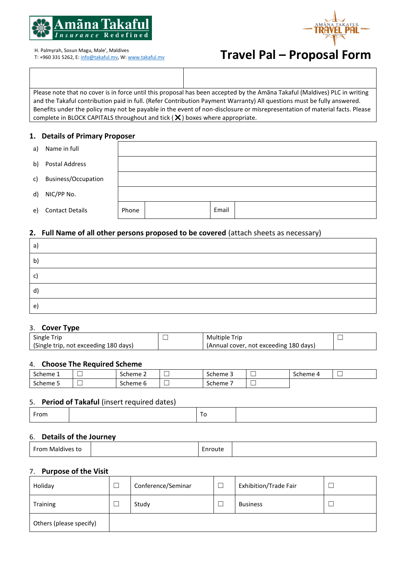



T: +960 331 5262, E[: info@takaful.mv,](mailto:info@takaful.mv) W[: www.takaful.mv](http://www.takaful.mv/)

# H. Palmyrah, Sosun Magu, Male', Maldives<br>T: +960 331 5262, E: <u>info@takaful.mv</u>, W: <u>www.takaful.mv</u><br> **Travel Pal — Proposal Form**

Please note that no cover is in force until this proposal has been accepted by the Amãna Takaful (Maldives) PLC in writing and the Takaful contribution paid in full. (Refer Contribution Payment Warranty) All questions must be fully answered. Benefits under the policy may not be payable in the event of non-disclosure or misrepresentation of material facts. Please complete in BLOCK CAPITALS throughout and tick  $(X)$  boxes where appropriate.

# **1. Details of Primary Proposer**

| a) | Name in full           |       |       |  |
|----|------------------------|-------|-------|--|
| b) | Postal Address         |       |       |  |
| c) | Business/Occupation    |       |       |  |
| d) | NIC/PP No.             |       |       |  |
| e) | <b>Contact Details</b> | Phone | Email |  |

# **2. Full Name of all other persons proposed to be covered** (attach sheets as necessary)

| a)           |  |
|--------------|--|
| $\mathsf{b}$ |  |
| C)           |  |
| $\mathsf{d}$ |  |
| e)           |  |

# 3. **Cover Type**

| Single Trip                           | <b>Multiple Trip</b>                   |  |
|---------------------------------------|----------------------------------------|--|
| (Single trip, not exceeding 180 days) | (Annual cover, not exceeding 180 days) |  |

#### 4. **Choose The Required Scheme**

| $\overline{\phantom{0}}$<br>Scheme 1 | ___<br>_ | Scheme 2 | $-$<br>__ | $\sim$<br>Scheme 5                 | Scheme |  |
|--------------------------------------|----------|----------|-----------|------------------------------------|--------|--|
| -<br>Scheme 5                        | _        | Scheme 6 | __<br>─   | $\overline{\phantom{0}}$<br>Scheme |        |  |

#### 5. **Period of Takaful** (insert required dates)

| From | '' |  |
|------|----|--|
|      |    |  |

### 6. **Details of the Journey**

| -----<br>Ma<br>uunnee<br>าย |  | $\overline{\phantom{0}}$<br>.<br>'OUT <del>P</del><br>п<br>w<br>. |  |
|-----------------------------|--|-------------------------------------------------------------------|--|
|-----------------------------|--|-------------------------------------------------------------------|--|

### 7. **Purpose of the Visit**

| Holiday                 | Conference/Seminar | Exhibition/Trade Fair |  |
|-------------------------|--------------------|-----------------------|--|
| <b>Training</b>         | Study              | <b>Business</b>       |  |
| Others (please specify) |                    |                       |  |